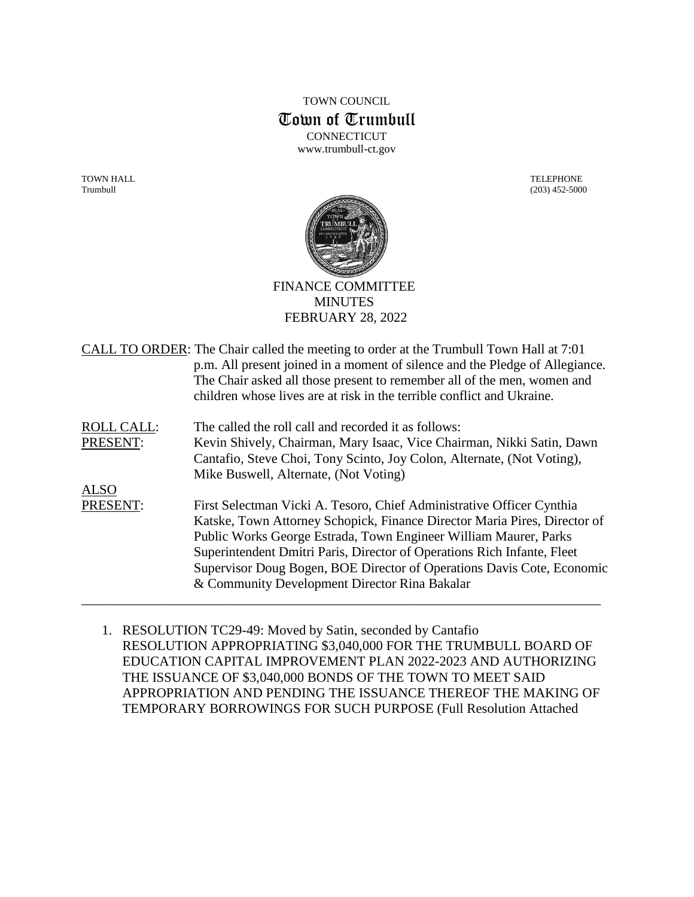# TOWN COUNCIL Town of Trumbull **CONNECTICUT** www.trumbull-ct.gov

TOWN HALL TELEPHONE Trumbull (203) 452-5000



FINANCE COMMITTEE **MINUTES** FEBRUARY 28, 2022

| CALL TO ORDER: The Chair called the meeting to order at the Trumbull Town Hall at 7:01 |
|----------------------------------------------------------------------------------------|
| p.m. All present joined in a moment of silence and the Pledge of Allegiance.           |
| The Chair asked all those present to remember all of the men, women and                |
| children whose lives are at risk in the terrible conflict and Ukraine.                 |
|                                                                                        |

ROLL CALL: The called the roll call and recorded it as follows: PRESENT: Kevin Shively, Chairman, Mary Isaac, Vice Chairman, Nikki Satin, Dawn Cantafio, Steve Choi, Tony Scinto, Joy Colon, Alternate, (Not Voting), Mike Buswell, Alternate, (Not Voting)

ALSO PRESENT: First Selectman Vicki A. Tesoro, Chief Administrative Officer Cynthia Katske, Town Attorney Schopick, Finance Director Maria Pires, Director of Public Works George Estrada, Town Engineer William Maurer, Parks Superintendent Dmitri Paris, Director of Operations Rich Infante, Fleet Supervisor Doug Bogen, BOE Director of Operations Davis Cote, Economic & Community Development Director Rina Bakalar

\_\_\_\_\_\_\_\_\_\_\_\_\_\_\_\_\_\_\_\_\_\_\_\_\_\_\_\_\_\_\_\_\_\_\_\_\_\_\_\_\_\_\_\_\_\_\_\_\_\_\_\_\_\_\_\_\_\_\_\_\_\_\_\_\_\_\_\_\_\_\_\_\_\_\_\_\_

1. RESOLUTION TC29-49: Moved by Satin, seconded by Cantafio RESOLUTION APPROPRIATING \$3,040,000 FOR THE TRUMBULL BOARD OF EDUCATION CAPITAL IMPROVEMENT PLAN 2022-2023 AND AUTHORIZING THE ISSUANCE OF \$3,040,000 BONDS OF THE TOWN TO MEET SAID APPROPRIATION AND PENDING THE ISSUANCE THEREOF THE MAKING OF TEMPORARY BORROWINGS FOR SUCH PURPOSE (Full Resolution Attached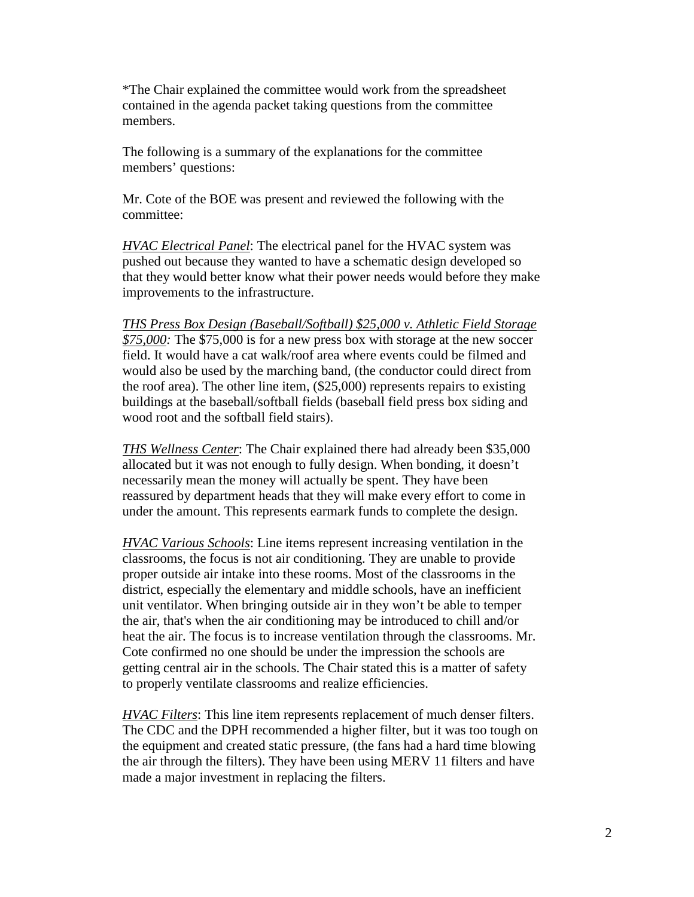\*The Chair explained the committee would work from the spreadsheet contained in the agenda packet taking questions from the committee members.

The following is a summary of the explanations for the committee members' questions:

Mr. Cote of the BOE was present and reviewed the following with the committee:

*HVAC Electrical Panel*: The electrical panel for the HVAC system was pushed out because they wanted to have a schematic design developed so that they would better know what their power needs would before they make improvements to the infrastructure.

*THS Press Box Design (Baseball/Softball) \$25,000 v. Athletic Field Storage \$75,000:* The \$75,000 is for a new press box with storage at the new soccer field. It would have a cat walk/roof area where events could be filmed and would also be used by the marching band, (the conductor could direct from the roof area). The other line item, (\$25,000) represents repairs to existing buildings at the baseball/softball fields (baseball field press box siding and wood root and the softball field stairs).

*THS Wellness Center*: The Chair explained there had already been \$35,000 allocated but it was not enough to fully design. When bonding, it doesn't necessarily mean the money will actually be spent. They have been reassured by department heads that they will make every effort to come in under the amount. This represents earmark funds to complete the design.

*HVAC Various Schools*: Line items represent increasing ventilation in the classrooms, the focus is not air conditioning. They are unable to provide proper outside air intake into these rooms. Most of the classrooms in the district, especially the elementary and middle schools, have an inefficient unit ventilator. When bringing outside air in they won't be able to temper the air, that's when the air conditioning may be introduced to chill and/or heat the air. The focus is to increase ventilation through the classrooms. Mr. Cote confirmed no one should be under the impression the schools are getting central air in the schools. The Chair stated this is a matter of safety to properly ventilate classrooms and realize efficiencies.

*HVAC Filters*: This line item represents replacement of much denser filters. The CDC and the DPH recommended a higher filter, but it was too tough on the equipment and created static pressure, (the fans had a hard time blowing the air through the filters). They have been using MERV 11 filters and have made a major investment in replacing the filters.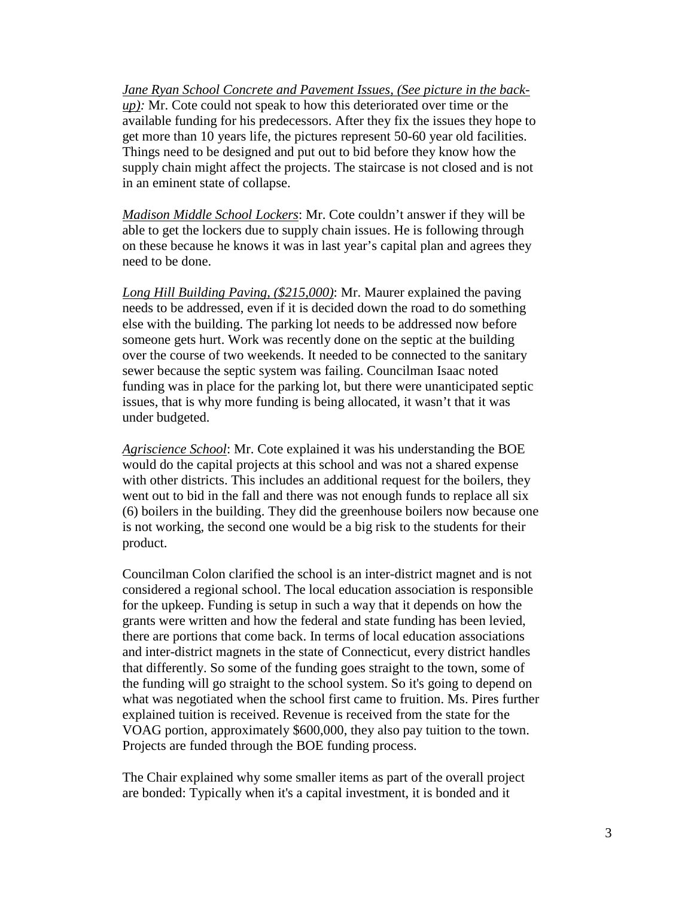*Jane Ryan School Concrete and Pavement Issues, (See picture in the backup):* Mr. Cote could not speak to how this deteriorated over time or the available funding for his predecessors. After they fix the issues they hope to get more than 10 years life, the pictures represent 50-60 year old facilities. Things need to be designed and put out to bid before they know how the supply chain might affect the projects. The staircase is not closed and is not in an eminent state of collapse.

*Madison Middle School Lockers*: Mr. Cote couldn't answer if they will be able to get the lockers due to supply chain issues. He is following through on these because he knows it was in last year's capital plan and agrees they need to be done.

*Long Hill Building Paving, (\$215,000)*: Mr. Maurer explained the paving needs to be addressed, even if it is decided down the road to do something else with the building. The parking lot needs to be addressed now before someone gets hurt. Work was recently done on the septic at the building over the course of two weekends. It needed to be connected to the sanitary sewer because the septic system was failing. Councilman Isaac noted funding was in place for the parking lot, but there were unanticipated septic issues, that is why more funding is being allocated, it wasn't that it was under budgeted.

*Agriscience School*: Mr. Cote explained it was his understanding the BOE would do the capital projects at this school and was not a shared expense with other districts. This includes an additional request for the boilers, they went out to bid in the fall and there was not enough funds to replace all six (6) boilers in the building. They did the greenhouse boilers now because one is not working, the second one would be a big risk to the students for their product.

Councilman Colon clarified the school is an inter-district magnet and is not considered a regional school. The local education association is responsible for the upkeep. Funding is setup in such a way that it depends on how the grants were written and how the federal and state funding has been levied, there are portions that come back. In terms of local education associations and inter-district magnets in the state of Connecticut, every district handles that differently. So some of the funding goes straight to the town, some of the funding will go straight to the school system. So it's going to depend on what was negotiated when the school first came to fruition. Ms. Pires further explained tuition is received. Revenue is received from the state for the VOAG portion, approximately \$600,000, they also pay tuition to the town. Projects are funded through the BOE funding process.

The Chair explained why some smaller items as part of the overall project are bonded: Typically when it's a capital investment, it is bonded and it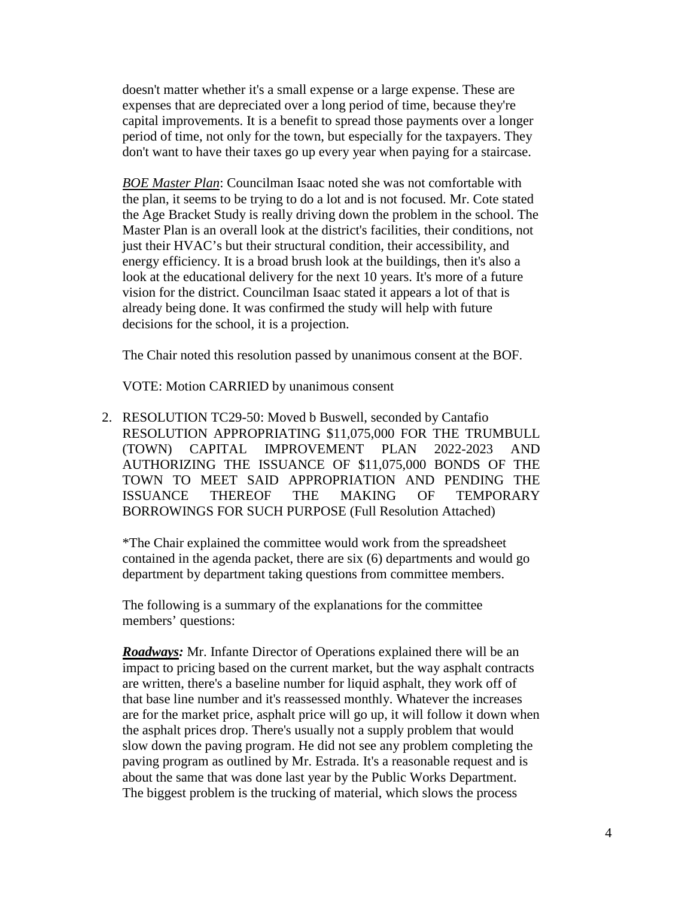doesn't matter whether it's a small expense or a large expense. These are expenses that are depreciated over a long period of time, because they're capital improvements. It is a benefit to spread those payments over a longer period of time, not only for the town, but especially for the taxpayers. They don't want to have their taxes go up every year when paying for a staircase.

*BOE Master Plan*: Councilman Isaac noted she was not comfortable with the plan, it seems to be trying to do a lot and is not focused. Mr. Cote stated the Age Bracket Study is really driving down the problem in the school. The Master Plan is an overall look at the district's facilities, their conditions, not just their HVAC's but their structural condition, their accessibility, and energy efficiency. It is a broad brush look at the buildings, then it's also a look at the educational delivery for the next 10 years. It's more of a future vision for the district. Councilman Isaac stated it appears a lot of that is already being done. It was confirmed the study will help with future decisions for the school, it is a projection.

The Chair noted this resolution passed by unanimous consent at the BOF.

VOTE: Motion CARRIED by unanimous consent

2. RESOLUTION TC29-50: Moved b Buswell, seconded by Cantafio RESOLUTION APPROPRIATING \$11,075,000 FOR THE TRUMBULL (TOWN) CAPITAL IMPROVEMENT PLAN 2022-2023 AND AUTHORIZING THE ISSUANCE OF \$11,075,000 BONDS OF THE TOWN TO MEET SAID APPROPRIATION AND PENDING THE ISSUANCE THEREOF THE MAKING OF TEMPORARY BORROWINGS FOR SUCH PURPOSE (Full Resolution Attached)

\*The Chair explained the committee would work from the spreadsheet contained in the agenda packet, there are six (6) departments and would go department by department taking questions from committee members.

The following is a summary of the explanations for the committee members' questions:

*Roadways:* Mr. Infante Director of Operations explained there will be an impact to pricing based on the current market, but the way asphalt contracts are written, there's a baseline number for liquid asphalt, they work off of that base line number and it's reassessed monthly. Whatever the increases are for the market price, asphalt price will go up, it will follow it down when the asphalt prices drop. There's usually not a supply problem that would slow down the paving program. He did not see any problem completing the paving program as outlined by Mr. Estrada. It's a reasonable request and is about the same that was done last year by the Public Works Department. The biggest problem is the trucking of material, which slows the process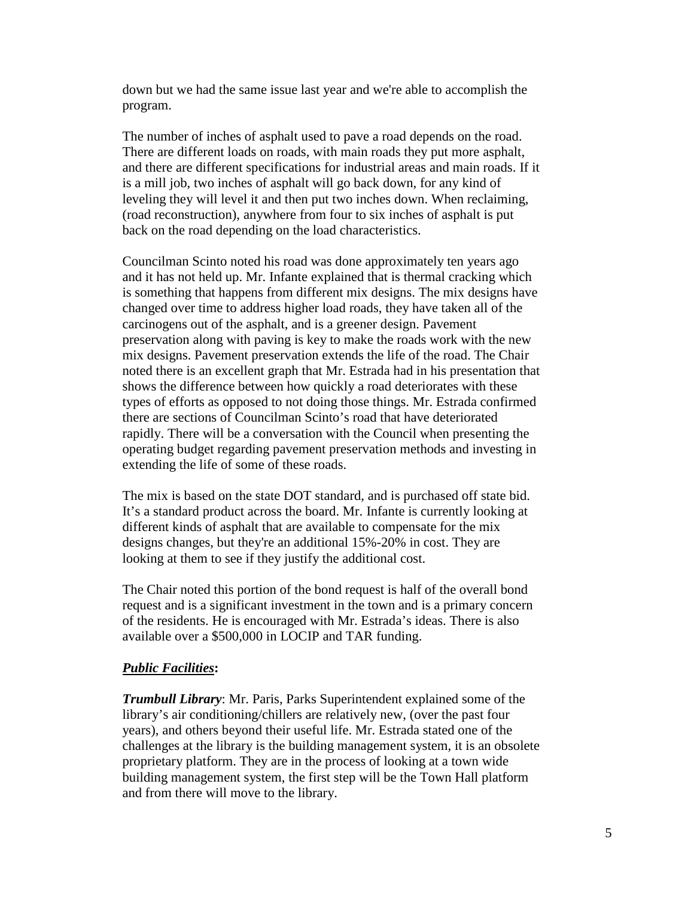down but we had the same issue last year and we're able to accomplish the program.

The number of inches of asphalt used to pave a road depends on the road. There are different loads on roads, with main roads they put more asphalt, and there are different specifications for industrial areas and main roads. If it is a mill job, two inches of asphalt will go back down, for any kind of leveling they will level it and then put two inches down. When reclaiming, (road reconstruction), anywhere from four to six inches of asphalt is put back on the road depending on the load characteristics.

Councilman Scinto noted his road was done approximately ten years ago and it has not held up. Mr. Infante explained that is thermal cracking which is something that happens from different mix designs. The mix designs have changed over time to address higher load roads, they have taken all of the carcinogens out of the asphalt, and is a greener design. Pavement preservation along with paving is key to make the roads work with the new mix designs. Pavement preservation extends the life of the road. The Chair noted there is an excellent graph that Mr. Estrada had in his presentation that shows the difference between how quickly a road deteriorates with these types of efforts as opposed to not doing those things. Mr. Estrada confirmed there are sections of Councilman Scinto's road that have deteriorated rapidly. There will be a conversation with the Council when presenting the operating budget regarding pavement preservation methods and investing in extending the life of some of these roads.

The mix is based on the state DOT standard, and is purchased off state bid. It's a standard product across the board. Mr. Infante is currently looking at different kinds of asphalt that are available to compensate for the mix designs changes, but they're an additional 15%-20% in cost. They are looking at them to see if they justify the additional cost.

The Chair noted this portion of the bond request is half of the overall bond request and is a significant investment in the town and is a primary concern of the residents. He is encouraged with Mr. Estrada's ideas. There is also available over a \$500,000 in LOCIP and TAR funding.

### *Public Facilities***:**

*Trumbull Library*: Mr. Paris, Parks Superintendent explained some of the library's air conditioning/chillers are relatively new, (over the past four years), and others beyond their useful life. Mr. Estrada stated one of the challenges at the library is the building management system, it is an obsolete proprietary platform. They are in the process of looking at a town wide building management system, the first step will be the Town Hall platform and from there will move to the library.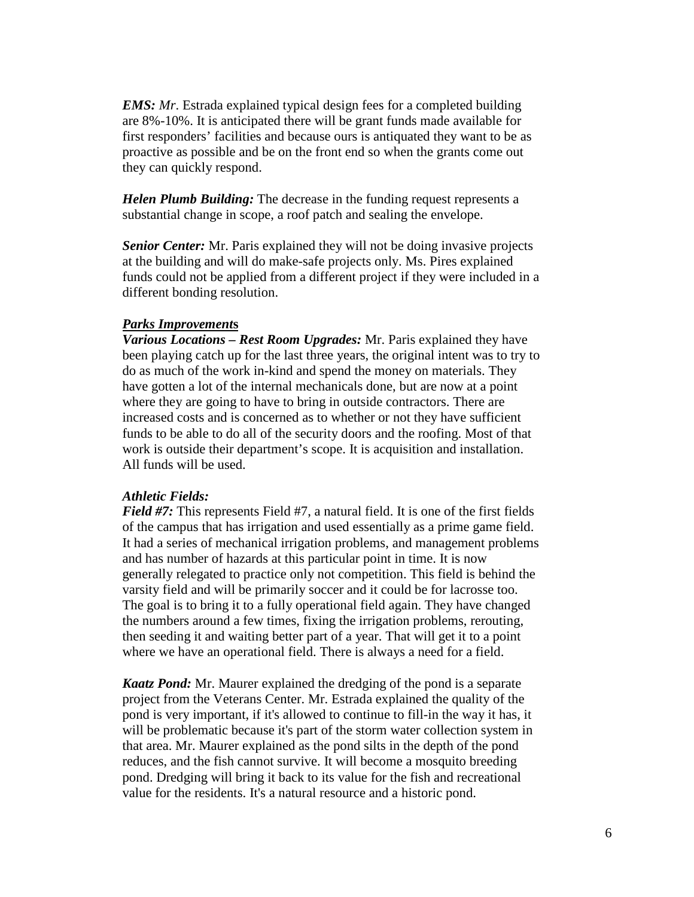*EMS: Mr.* Estrada explained typical design fees for a completed building are 8%-10%. It is anticipated there will be grant funds made available for first responders' facilities and because ours is antiquated they want to be as proactive as possible and be on the front end so when the grants come out they can quickly respond.

*Helen Plumb Building:* The decrease in the funding request represents a substantial change in scope, a roof patch and sealing the envelope.

*Senior Center:* Mr. Paris explained they will not be doing invasive projects at the building and will do make-safe projects only. Ms. Pires explained funds could not be applied from a different project if they were included in a different bonding resolution.

### *Parks Improvement***s**

*Various Locations – Rest Room Upgrades:* Mr. Paris explained they have been playing catch up for the last three years, the original intent was to try to do as much of the work in-kind and spend the money on materials. They have gotten a lot of the internal mechanicals done, but are now at a point where they are going to have to bring in outside contractors. There are increased costs and is concerned as to whether or not they have sufficient funds to be able to do all of the security doors and the roofing. Most of that work is outside their department's scope. It is acquisition and installation. All funds will be used.

### *Athletic Fields:*

*Field #7:* This represents Field #7, a natural field. It is one of the first fields of the campus that has irrigation and used essentially as a prime game field. It had a series of mechanical irrigation problems, and management problems and has number of hazards at this particular point in time. It is now generally relegated to practice only not competition. This field is behind the varsity field and will be primarily soccer and it could be for lacrosse too. The goal is to bring it to a fully operational field again. They have changed the numbers around a few times, fixing the irrigation problems, rerouting, then seeding it and waiting better part of a year. That will get it to a point where we have an operational field. There is always a need for a field.

*Kaatz Pond:* Mr. Maurer explained the dredging of the pond is a separate project from the Veterans Center. Mr. Estrada explained the quality of the pond is very important, if it's allowed to continue to fill-in the way it has, it will be problematic because it's part of the storm water collection system in that area. Mr. Maurer explained as the pond silts in the depth of the pond reduces, and the fish cannot survive. It will become a mosquito breeding pond. Dredging will bring it back to its value for the fish and recreational value for the residents. It's a natural resource and a historic pond.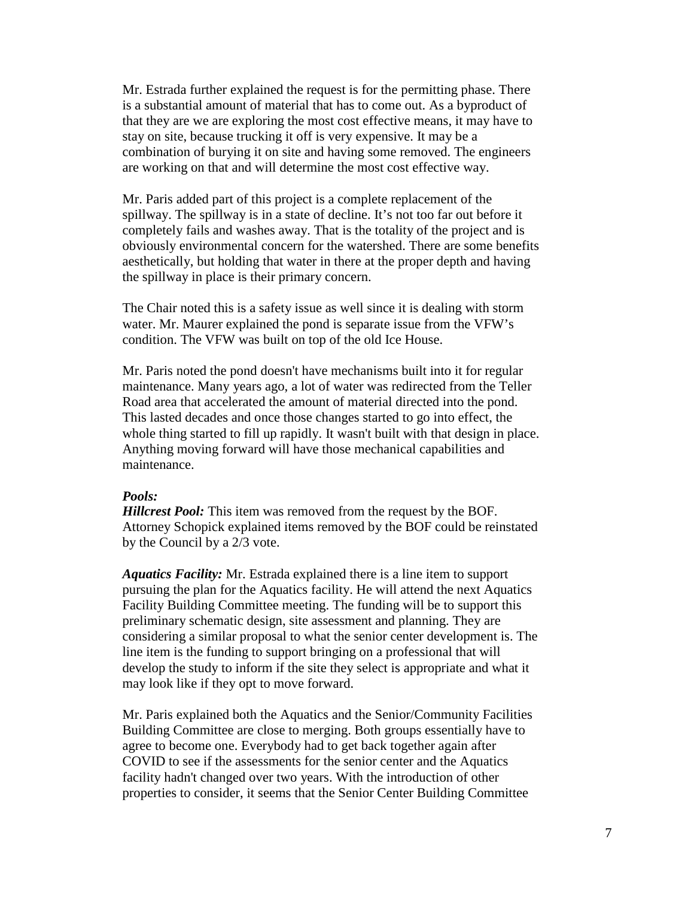Mr. Estrada further explained the request is for the permitting phase. There is a substantial amount of material that has to come out. As a byproduct of that they are we are exploring the most cost effective means, it may have to stay on site, because trucking it off is very expensive. It may be a combination of burying it on site and having some removed. The engineers are working on that and will determine the most cost effective way.

Mr. Paris added part of this project is a complete replacement of the spillway. The spillway is in a state of decline. It's not too far out before it completely fails and washes away. That is the totality of the project and is obviously environmental concern for the watershed. There are some benefits aesthetically, but holding that water in there at the proper depth and having the spillway in place is their primary concern.

The Chair noted this is a safety issue as well since it is dealing with storm water. Mr. Maurer explained the pond is separate issue from the VFW's condition. The VFW was built on top of the old Ice House.

Mr. Paris noted the pond doesn't have mechanisms built into it for regular maintenance. Many years ago, a lot of water was redirected from the Teller Road area that accelerated the amount of material directed into the pond. This lasted decades and once those changes started to go into effect, the whole thing started to fill up rapidly. It wasn't built with that design in place. Anything moving forward will have those mechanical capabilities and maintenance.

#### *Pools:*

*Hillcrest Pool:* This item was removed from the request by the BOF. Attorney Schopick explained items removed by the BOF could be reinstated by the Council by a 2/3 vote.

*Aquatics Facility:* Mr. Estrada explained there is a line item to support pursuing the plan for the Aquatics facility. He will attend the next Aquatics Facility Building Committee meeting. The funding will be to support this preliminary schematic design, site assessment and planning. They are considering a similar proposal to what the senior center development is. The line item is the funding to support bringing on a professional that will develop the study to inform if the site they select is appropriate and what it may look like if they opt to move forward.

Mr. Paris explained both the Aquatics and the Senior/Community Facilities Building Committee are close to merging. Both groups essentially have to agree to become one. Everybody had to get back together again after COVID to see if the assessments for the senior center and the Aquatics facility hadn't changed over two years. With the introduction of other properties to consider, it seems that the Senior Center Building Committee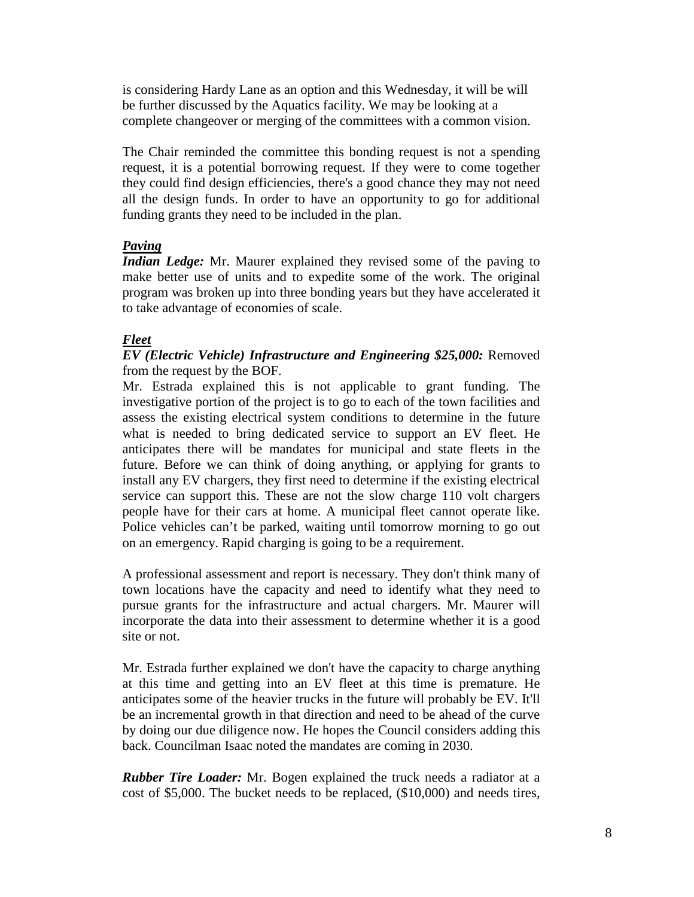is considering Hardy Lane as an option and this Wednesday, it will be will be further discussed by the Aquatics facility. We may be looking at a complete changeover or merging of the committees with a common vision.

The Chair reminded the committee this bonding request is not a spending request, it is a potential borrowing request. If they were to come together they could find design efficiencies, there's a good chance they may not need all the design funds. In order to have an opportunity to go for additional funding grants they need to be included in the plan.

## *Paving*

*Indian Ledge:* Mr. Maurer explained they revised some of the paving to make better use of units and to expedite some of the work. The original program was broken up into three bonding years but they have accelerated it to take advantage of economies of scale.

## *Fleet*

## *EV (Electric Vehicle) Infrastructure and Engineering \$25,000:* Removed from the request by the BOF.

Mr. Estrada explained this is not applicable to grant funding. The investigative portion of the project is to go to each of the town facilities and assess the existing electrical system conditions to determine in the future what is needed to bring dedicated service to support an EV fleet. He anticipates there will be mandates for municipal and state fleets in the future. Before we can think of doing anything, or applying for grants to install any EV chargers, they first need to determine if the existing electrical service can support this. These are not the slow charge 110 volt chargers people have for their cars at home. A municipal fleet cannot operate like. Police vehicles can't be parked, waiting until tomorrow morning to go out on an emergency. Rapid charging is going to be a requirement.

A professional assessment and report is necessary. They don't think many of town locations have the capacity and need to identify what they need to pursue grants for the infrastructure and actual chargers. Mr. Maurer will incorporate the data into their assessment to determine whether it is a good site or not.

Mr. Estrada further explained we don't have the capacity to charge anything at this time and getting into an EV fleet at this time is premature. He anticipates some of the heavier trucks in the future will probably be EV. It'll be an incremental growth in that direction and need to be ahead of the curve by doing our due diligence now. He hopes the Council considers adding this back. Councilman Isaac noted the mandates are coming in 2030.

*Rubber Tire Loader:* Mr. Bogen explained the truck needs a radiator at a cost of \$5,000. The bucket needs to be replaced, (\$10,000) and needs tires,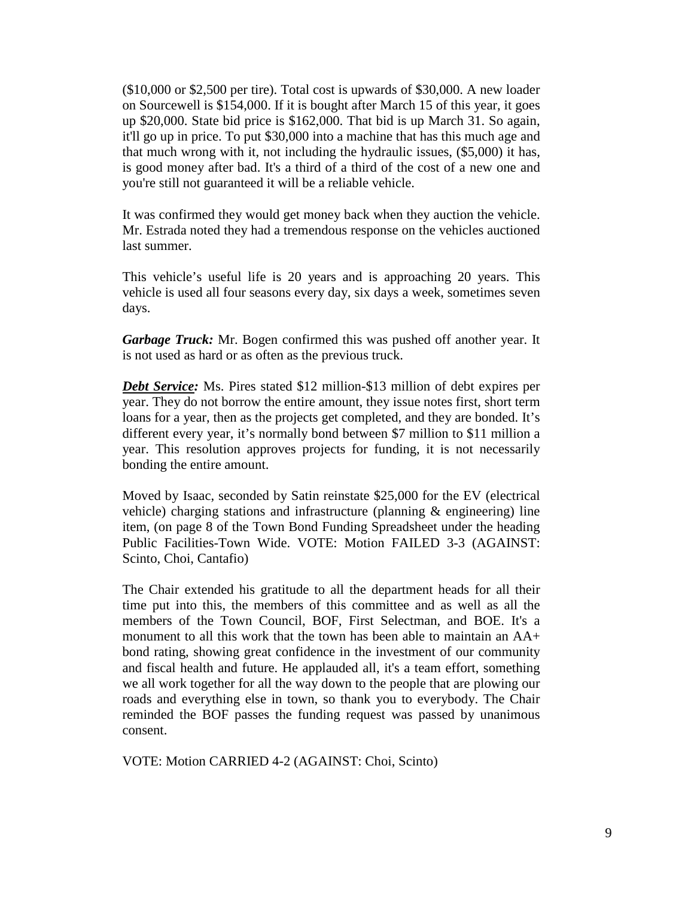(\$10,000 or \$2,500 per tire). Total cost is upwards of \$30,000. A new loader on Sourcewell is \$154,000. If it is bought after March 15 of this year, it goes up \$20,000. State bid price is \$162,000. That bid is up March 31. So again, it'll go up in price. To put \$30,000 into a machine that has this much age and that much wrong with it, not including the hydraulic issues, (\$5,000) it has, is good money after bad. It's a third of a third of the cost of a new one and you're still not guaranteed it will be a reliable vehicle.

It was confirmed they would get money back when they auction the vehicle. Mr. Estrada noted they had a tremendous response on the vehicles auctioned last summer.

This vehicle's useful life is 20 years and is approaching 20 years. This vehicle is used all four seasons every day, six days a week, sometimes seven days.

*Garbage Truck:* Mr. Bogen confirmed this was pushed off another year. It is not used as hard or as often as the previous truck.

**Debt Service:** Ms. Pires stated \$12 million-\$13 million of debt expires per year. They do not borrow the entire amount, they issue notes first, short term loans for a year, then as the projects get completed, and they are bonded. It's different every year, it's normally bond between \$7 million to \$11 million a year. This resolution approves projects for funding, it is not necessarily bonding the entire amount.

Moved by Isaac, seconded by Satin reinstate \$25,000 for the EV (electrical vehicle) charging stations and infrastructure (planning & engineering) line item, (on page 8 of the Town Bond Funding Spreadsheet under the heading Public Facilities-Town Wide. VOTE: Motion FAILED 3-3 (AGAINST: Scinto, Choi, Cantafio)

The Chair extended his gratitude to all the department heads for all their time put into this, the members of this committee and as well as all the members of the Town Council, BOF, First Selectman, and BOE. It's a monument to all this work that the town has been able to maintain an AA+ bond rating, showing great confidence in the investment of our community and fiscal health and future. He applauded all, it's a team effort, something we all work together for all the way down to the people that are plowing our roads and everything else in town, so thank you to everybody. The Chair reminded the BOF passes the funding request was passed by unanimous consent.

VOTE: Motion CARRIED 4-2 (AGAINST: Choi, Scinto)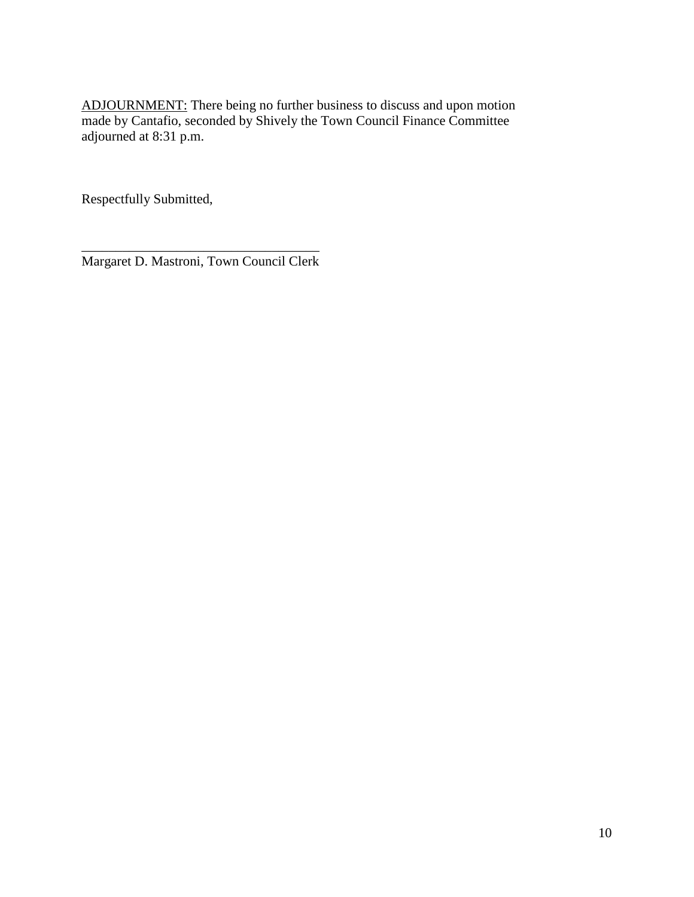ADJOURNMENT: There being no further business to discuss and upon motion made by Cantafio, seconded by Shively the Town Council Finance Committee adjourned at 8:31 p.m.

Respectfully Submitted,

\_\_\_\_\_\_\_\_\_\_\_\_\_\_\_\_\_\_\_\_\_\_\_\_\_\_\_\_\_\_\_\_\_\_\_ Margaret D. Mastroni, Town Council Clerk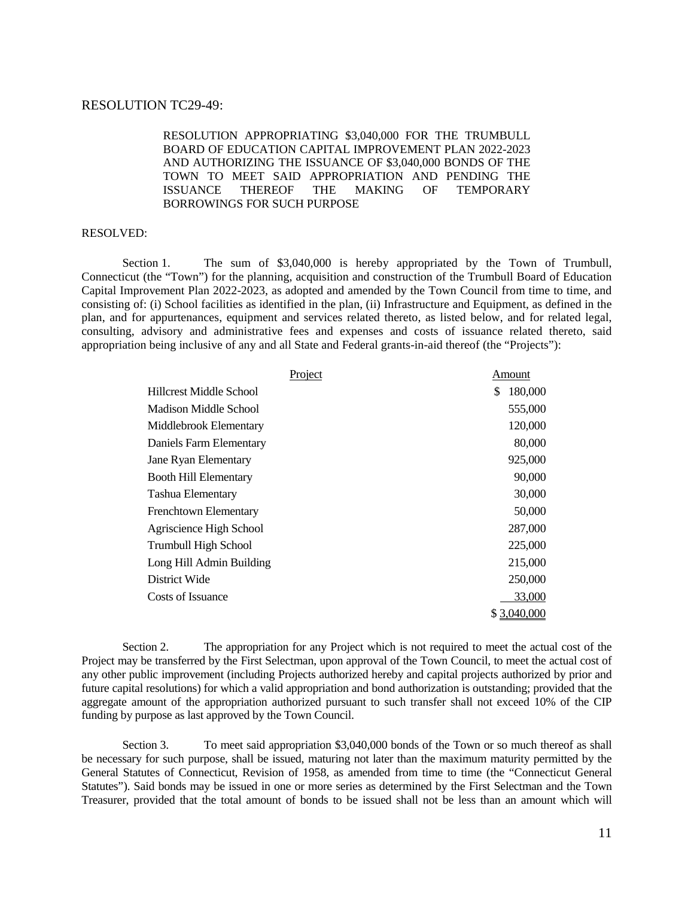#### RESOLUTION TC29-49:

RESOLUTION APPROPRIATING \$3,040,000 FOR THE TRUMBULL BOARD OF EDUCATION CAPITAL IMPROVEMENT PLAN 2022-2023 AND AUTHORIZING THE ISSUANCE OF \$3,040,000 BONDS OF THE TOWN TO MEET SAID APPROPRIATION AND PENDING THE ISSUANCE THEREOF THE MAKING OF TEMPORARY BORROWINGS FOR SUCH PURPOSE

#### RESOLVED:

Section 1. The sum of \$3,040,000 is hereby appropriated by the Town of Trumbull, Connecticut (the "Town") for the planning, acquisition and construction of the Trumbull Board of Education Capital Improvement Plan 2022-2023, as adopted and amended by the Town Council from time to time, and consisting of: (i) School facilities as identified in the plan, (ii) Infrastructure and Equipment, as defined in the plan, and for appurtenances, equipment and services related thereto, as listed below, and for related legal, consulting, advisory and administrative fees and expenses and costs of issuance related thereto, said appropriation being inclusive of any and all State and Federal grants-in-aid thereof (the "Projects"):

| Project                      | Amount        |
|------------------------------|---------------|
| Hillcrest Middle School      | \$<br>180,000 |
| Madison Middle School        | 555,000       |
| Middlebrook Elementary       | 120,000       |
| Daniels Farm Elementary      | 80,000        |
| <b>Jane Ryan Elementary</b>  | 925,000       |
| <b>Booth Hill Elementary</b> | 90,000        |
| Tashua Elementary            | 30,000        |
| Frenchtown Elementary        | 50,000        |
| Agriscience High School      | 287,000       |
| Trumbull High School         | 225,000       |
| Long Hill Admin Building     | 215,000       |
| District Wide                | 250,000       |
| Costs of Issuance            | 33,000        |
|                              | 3,040,000     |

Section 2. The appropriation for any Project which is not required to meet the actual cost of the Project may be transferred by the First Selectman, upon approval of the Town Council, to meet the actual cost of any other public improvement (including Projects authorized hereby and capital projects authorized by prior and future capital resolutions) for which a valid appropriation and bond authorization is outstanding; provided that the aggregate amount of the appropriation authorized pursuant to such transfer shall not exceed 10% of the CIP funding by purpose as last approved by the Town Council.

Section 3. To meet said appropriation \$3,040,000 bonds of the Town or so much thereof as shall be necessary for such purpose, shall be issued, maturing not later than the maximum maturity permitted by the General Statutes of Connecticut, Revision of 1958, as amended from time to time (the "Connecticut General Statutes"). Said bonds may be issued in one or more series as determined by the First Selectman and the Town Treasurer, provided that the total amount of bonds to be issued shall not be less than an amount which will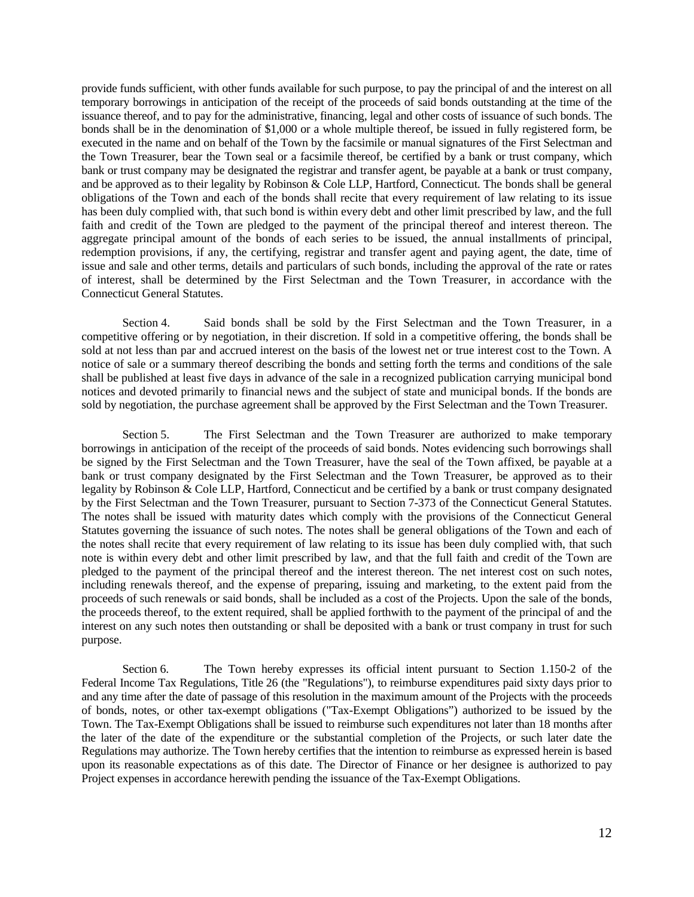provide funds sufficient, with other funds available for such purpose, to pay the principal of and the interest on all temporary borrowings in anticipation of the receipt of the proceeds of said bonds outstanding at the time of the issuance thereof, and to pay for the administrative, financing, legal and other costs of issuance of such bonds. The bonds shall be in the denomination of \$1,000 or a whole multiple thereof, be issued in fully registered form, be executed in the name and on behalf of the Town by the facsimile or manual signatures of the First Selectman and the Town Treasurer, bear the Town seal or a facsimile thereof, be certified by a bank or trust company, which bank or trust company may be designated the registrar and transfer agent, be payable at a bank or trust company, and be approved as to their legality by Robinson & Cole LLP, Hartford, Connecticut. The bonds shall be general obligations of the Town and each of the bonds shall recite that every requirement of law relating to its issue has been duly complied with, that such bond is within every debt and other limit prescribed by law, and the full faith and credit of the Town are pledged to the payment of the principal thereof and interest thereon. The aggregate principal amount of the bonds of each series to be issued, the annual installments of principal, redemption provisions, if any, the certifying, registrar and transfer agent and paying agent, the date, time of issue and sale and other terms, details and particulars of such bonds, including the approval of the rate or rates of interest, shall be determined by the First Selectman and the Town Treasurer, in accordance with the Connecticut General Statutes.

Section 4. Said bonds shall be sold by the First Selectman and the Town Treasurer, in a competitive offering or by negotiation, in their discretion. If sold in a competitive offering, the bonds shall be sold at not less than par and accrued interest on the basis of the lowest net or true interest cost to the Town. A notice of sale or a summary thereof describing the bonds and setting forth the terms and conditions of the sale shall be published at least five days in advance of the sale in a recognized publication carrying municipal bond notices and devoted primarily to financial news and the subject of state and municipal bonds. If the bonds are sold by negotiation, the purchase agreement shall be approved by the First Selectman and the Town Treasurer.

Section 5. The First Selectman and the Town Treasurer are authorized to make temporary borrowings in anticipation of the receipt of the proceeds of said bonds. Notes evidencing such borrowings shall be signed by the First Selectman and the Town Treasurer, have the seal of the Town affixed, be payable at a bank or trust company designated by the First Selectman and the Town Treasurer, be approved as to their legality by Robinson & Cole LLP, Hartford, Connecticut and be certified by a bank or trust company designated by the First Selectman and the Town Treasurer, pursuant to Section 7-373 of the Connecticut General Statutes. The notes shall be issued with maturity dates which comply with the provisions of the Connecticut General Statutes governing the issuance of such notes. The notes shall be general obligations of the Town and each of the notes shall recite that every requirement of law relating to its issue has been duly complied with, that such note is within every debt and other limit prescribed by law, and that the full faith and credit of the Town are pledged to the payment of the principal thereof and the interest thereon. The net interest cost on such notes, including renewals thereof, and the expense of preparing, issuing and marketing, to the extent paid from the proceeds of such renewals or said bonds, shall be included as a cost of the Projects. Upon the sale of the bonds, the proceeds thereof, to the extent required, shall be applied forthwith to the payment of the principal of and the interest on any such notes then outstanding or shall be deposited with a bank or trust company in trust for such purpose.

Section 6. The Town hereby expresses its official intent pursuant to Section 1.150-2 of the Federal Income Tax Regulations, Title 26 (the "Regulations"), to reimburse expenditures paid sixty days prior to and any time after the date of passage of this resolution in the maximum amount of the Projects with the proceeds of bonds, notes, or other tax-exempt obligations ("Tax-Exempt Obligations") authorized to be issued by the Town. The Tax-Exempt Obligations shall be issued to reimburse such expenditures not later than 18 months after the later of the date of the expenditure or the substantial completion of the Projects, or such later date the Regulations may authorize. The Town hereby certifies that the intention to reimburse as expressed herein is based upon its reasonable expectations as of this date. The Director of Finance or her designee is authorized to pay Project expenses in accordance herewith pending the issuance of the Tax-Exempt Obligations.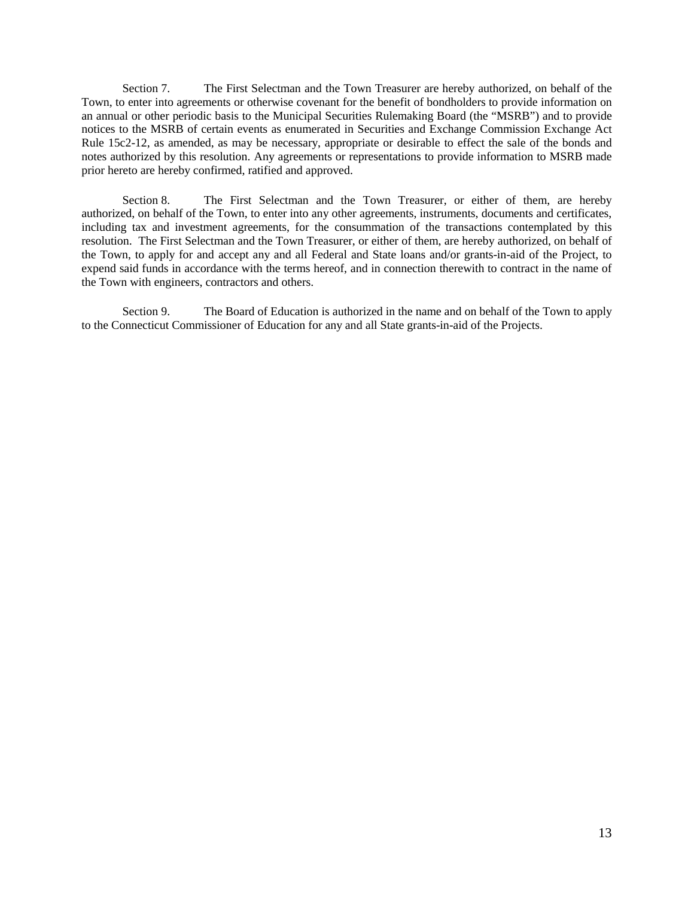Section 7. The First Selectman and the Town Treasurer are hereby authorized, on behalf of the Town, to enter into agreements or otherwise covenant for the benefit of bondholders to provide information on an annual or other periodic basis to the Municipal Securities Rulemaking Board (the "MSRB") and to provide notices to the MSRB of certain events as enumerated in Securities and Exchange Commission Exchange Act Rule 15c2-12, as amended, as may be necessary, appropriate or desirable to effect the sale of the bonds and notes authorized by this resolution. Any agreements or representations to provide information to MSRB made prior hereto are hereby confirmed, ratified and approved.

Section 8. The First Selectman and the Town Treasurer, or either of them, are hereby authorized, on behalf of the Town, to enter into any other agreements, instruments, documents and certificates, including tax and investment agreements, for the consummation of the transactions contemplated by this resolution. The First Selectman and the Town Treasurer, or either of them, are hereby authorized, on behalf of the Town, to apply for and accept any and all Federal and State loans and/or grants-in-aid of the Project, to expend said funds in accordance with the terms hereof, and in connection therewith to contract in the name of the Town with engineers, contractors and others.

Section 9. The Board of Education is authorized in the name and on behalf of the Town to apply to the Connecticut Commissioner of Education for any and all State grants-in-aid of the Projects.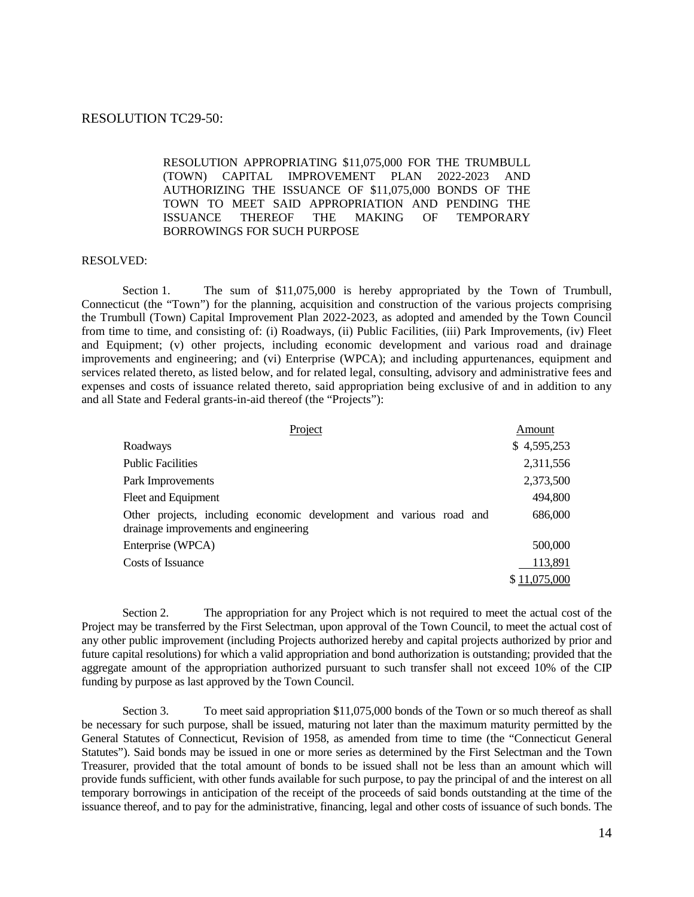### RESOLUTION TC29-50:

### RESOLUTION APPROPRIATING \$11,075,000 FOR THE TRUMBULL (TOWN) CAPITAL IMPROVEMENT PLAN 2022-2023 AND AUTHORIZING THE ISSUANCE OF \$11,075,000 BONDS OF THE TOWN TO MEET SAID APPROPRIATION AND PENDING THE ISSUANCE THEREOF THE MAKING OF TEMPORARY BORROWINGS FOR SUCH PURPOSE

#### RESOLVED:

Section 1. The sum of \$11,075,000 is hereby appropriated by the Town of Trumbull, Connecticut (the "Town") for the planning, acquisition and construction of the various projects comprising the Trumbull (Town) Capital Improvement Plan 2022-2023, as adopted and amended by the Town Council from time to time, and consisting of: (i) Roadways, (ii) Public Facilities, (iii) Park Improvements, (iv) Fleet and Equipment; (v) other projects, including economic development and various road and drainage improvements and engineering; and (vi) Enterprise (WPCA); and including appurtenances, equipment and services related thereto, as listed below, and for related legal, consulting, advisory and administrative fees and expenses and costs of issuance related thereto, said appropriation being exclusive of and in addition to any and all State and Federal grants-in-aid thereof (the "Projects"):

| Project                                                                                                      | Amount       |
|--------------------------------------------------------------------------------------------------------------|--------------|
| Roadways                                                                                                     | \$4,595,253  |
| <b>Public Facilities</b>                                                                                     | 2,311,556    |
| Park Improvements                                                                                            | 2,373,500    |
| Fleet and Equipment                                                                                          | 494,800      |
| Other projects, including economic development and various road and<br>drainage improvements and engineering | 686,000      |
| Enterprise (WPCA)                                                                                            | 500,000      |
| Costs of Issuance                                                                                            | 113,891      |
|                                                                                                              | \$11,075,000 |

Section 2. The appropriation for any Project which is not required to meet the actual cost of the Project may be transferred by the First Selectman, upon approval of the Town Council, to meet the actual cost of any other public improvement (including Projects authorized hereby and capital projects authorized by prior and future capital resolutions) for which a valid appropriation and bond authorization is outstanding; provided that the aggregate amount of the appropriation authorized pursuant to such transfer shall not exceed 10% of the CIP funding by purpose as last approved by the Town Council.

Section 3. To meet said appropriation \$11,075,000 bonds of the Town or so much thereof as shall be necessary for such purpose, shall be issued, maturing not later than the maximum maturity permitted by the General Statutes of Connecticut, Revision of 1958, as amended from time to time (the "Connecticut General Statutes"). Said bonds may be issued in one or more series as determined by the First Selectman and the Town Treasurer, provided that the total amount of bonds to be issued shall not be less than an amount which will provide funds sufficient, with other funds available for such purpose, to pay the principal of and the interest on all temporary borrowings in anticipation of the receipt of the proceeds of said bonds outstanding at the time of the issuance thereof, and to pay for the administrative, financing, legal and other costs of issuance of such bonds. The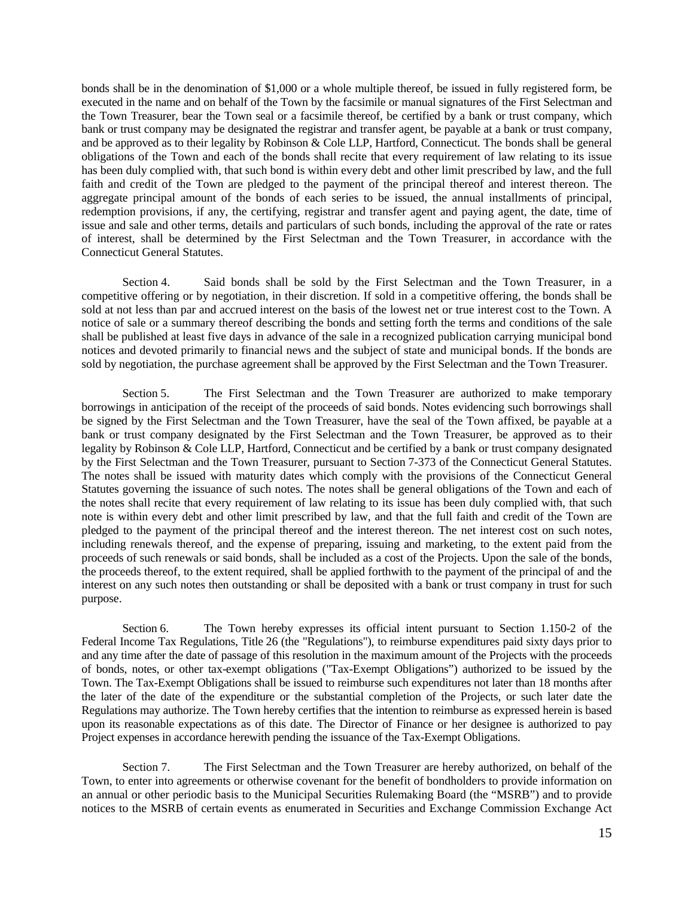bonds shall be in the denomination of \$1,000 or a whole multiple thereof, be issued in fully registered form, be executed in the name and on behalf of the Town by the facsimile or manual signatures of the First Selectman and the Town Treasurer, bear the Town seal or a facsimile thereof, be certified by a bank or trust company, which bank or trust company may be designated the registrar and transfer agent, be payable at a bank or trust company, and be approved as to their legality by Robinson & Cole LLP, Hartford, Connecticut. The bonds shall be general obligations of the Town and each of the bonds shall recite that every requirement of law relating to its issue has been duly complied with, that such bond is within every debt and other limit prescribed by law, and the full faith and credit of the Town are pledged to the payment of the principal thereof and interest thereon. The aggregate principal amount of the bonds of each series to be issued, the annual installments of principal, redemption provisions, if any, the certifying, registrar and transfer agent and paying agent, the date, time of issue and sale and other terms, details and particulars of such bonds, including the approval of the rate or rates of interest, shall be determined by the First Selectman and the Town Treasurer, in accordance with the Connecticut General Statutes.

Section 4. Said bonds shall be sold by the First Selectman and the Town Treasurer, in a competitive offering or by negotiation, in their discretion. If sold in a competitive offering, the bonds shall be sold at not less than par and accrued interest on the basis of the lowest net or true interest cost to the Town. A notice of sale or a summary thereof describing the bonds and setting forth the terms and conditions of the sale shall be published at least five days in advance of the sale in a recognized publication carrying municipal bond notices and devoted primarily to financial news and the subject of state and municipal bonds. If the bonds are sold by negotiation, the purchase agreement shall be approved by the First Selectman and the Town Treasurer.

Section 5. The First Selectman and the Town Treasurer are authorized to make temporary borrowings in anticipation of the receipt of the proceeds of said bonds. Notes evidencing such borrowings shall be signed by the First Selectman and the Town Treasurer, have the seal of the Town affixed, be payable at a bank or trust company designated by the First Selectman and the Town Treasurer, be approved as to their legality by Robinson & Cole LLP, Hartford, Connecticut and be certified by a bank or trust company designated by the First Selectman and the Town Treasurer, pursuant to Section 7-373 of the Connecticut General Statutes. The notes shall be issued with maturity dates which comply with the provisions of the Connecticut General Statutes governing the issuance of such notes. The notes shall be general obligations of the Town and each of the notes shall recite that every requirement of law relating to its issue has been duly complied with, that such note is within every debt and other limit prescribed by law, and that the full faith and credit of the Town are pledged to the payment of the principal thereof and the interest thereon. The net interest cost on such notes, including renewals thereof, and the expense of preparing, issuing and marketing, to the extent paid from the proceeds of such renewals or said bonds, shall be included as a cost of the Projects. Upon the sale of the bonds, the proceeds thereof, to the extent required, shall be applied forthwith to the payment of the principal of and the interest on any such notes then outstanding or shall be deposited with a bank or trust company in trust for such purpose.

Section 6. The Town hereby expresses its official intent pursuant to Section 1.150-2 of the Federal Income Tax Regulations, Title 26 (the "Regulations"), to reimburse expenditures paid sixty days prior to and any time after the date of passage of this resolution in the maximum amount of the Projects with the proceeds of bonds, notes, or other tax-exempt obligations ("Tax-Exempt Obligations") authorized to be issued by the Town. The Tax-Exempt Obligations shall be issued to reimburse such expenditures not later than 18 months after the later of the date of the expenditure or the substantial completion of the Projects, or such later date the Regulations may authorize. The Town hereby certifies that the intention to reimburse as expressed herein is based upon its reasonable expectations as of this date. The Director of Finance or her designee is authorized to pay Project expenses in accordance herewith pending the issuance of the Tax-Exempt Obligations.

Section 7. The First Selectman and the Town Treasurer are hereby authorized, on behalf of the Town, to enter into agreements or otherwise covenant for the benefit of bondholders to provide information on an annual or other periodic basis to the Municipal Securities Rulemaking Board (the "MSRB") and to provide notices to the MSRB of certain events as enumerated in Securities and Exchange Commission Exchange Act